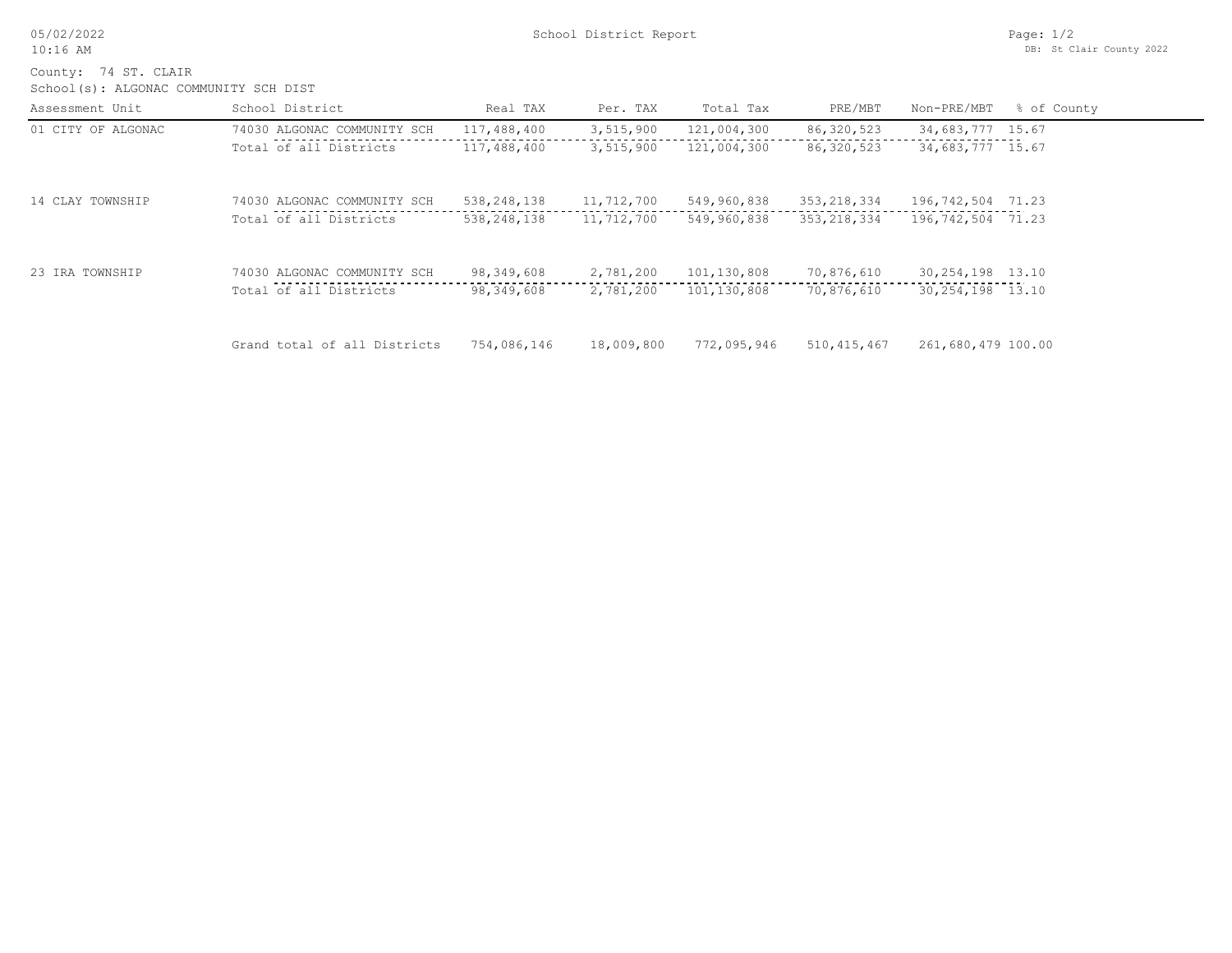School(s): ALGONAC COMMUNITY SCH DIST County: 74 ST. CLAIR

| Assessment Unit    | School District              | Real TAX      | Per. TAX   | Total Tax   | PRE/MBT       | Non-PRE/MBT        | % of County |
|--------------------|------------------------------|---------------|------------|-------------|---------------|--------------------|-------------|
| 01 CITY OF ALGONAC | 74030 ALGONAC COMMUNITY SCH  | 117,488,400   | 3,515,900  | 121,004,300 | 86,320,523    | 34,683,777 15.67   |             |
|                    | Total of all Districts       | 117,488,400   | 3,515,900  | 121,004,300 | 86, 320, 523  | 34,683,777 15.67   |             |
| 14 CLAY TOWNSHIP   | 74030 ALGONAC COMMUNITY SCH  | 538,248,138   | 11,712,700 | 549,960,838 | 353,218,334   | 196,742,504 71.23  |             |
|                    | Total of all Districts       | 538, 248, 138 | 11,712,700 | 549,960,838 | 353, 218, 334 | 196,742,504 71.23  |             |
| 23 IRA TOWNSHIP    | 74030 ALGONAC COMMUNITY SCH  | 98,349,608    | 2,781,200  | 101,130,808 | 70,876,610    | 30, 254, 198 13.10 |             |
|                    | Total of all Districts       | 98,349,608    | 2,781,200  | 101,130,808 | 70,876,610    | 30, 254, 198 13.10 |             |
|                    | Grand total of all Districts | 754,086,146   | 18,009,800 | 772,095,946 | 510, 415, 467 | 261,680,479 100.00 |             |